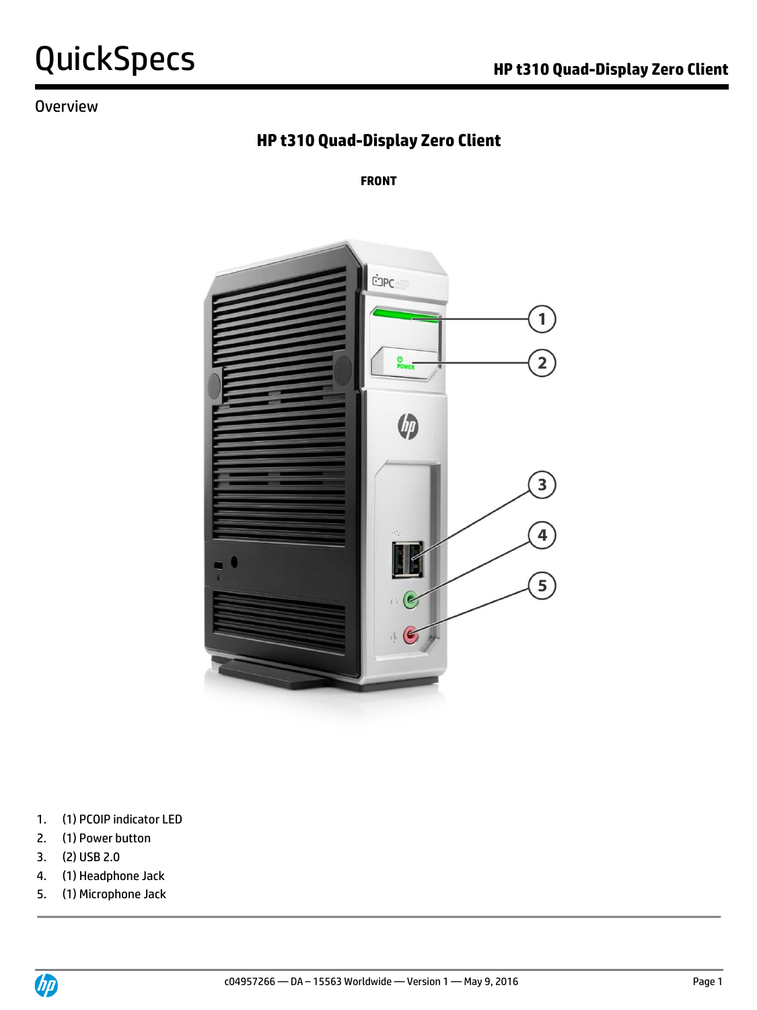#### Overview

## **HP t310 Quad-Display Zero Client**

**FRONT**



- 1. (1) PCOIP indicator LED
- 2. (1) Power button
- 3. (2) USB 2.0
- 4. (1) Headphone Jack
- 5. (1) Microphone Jack

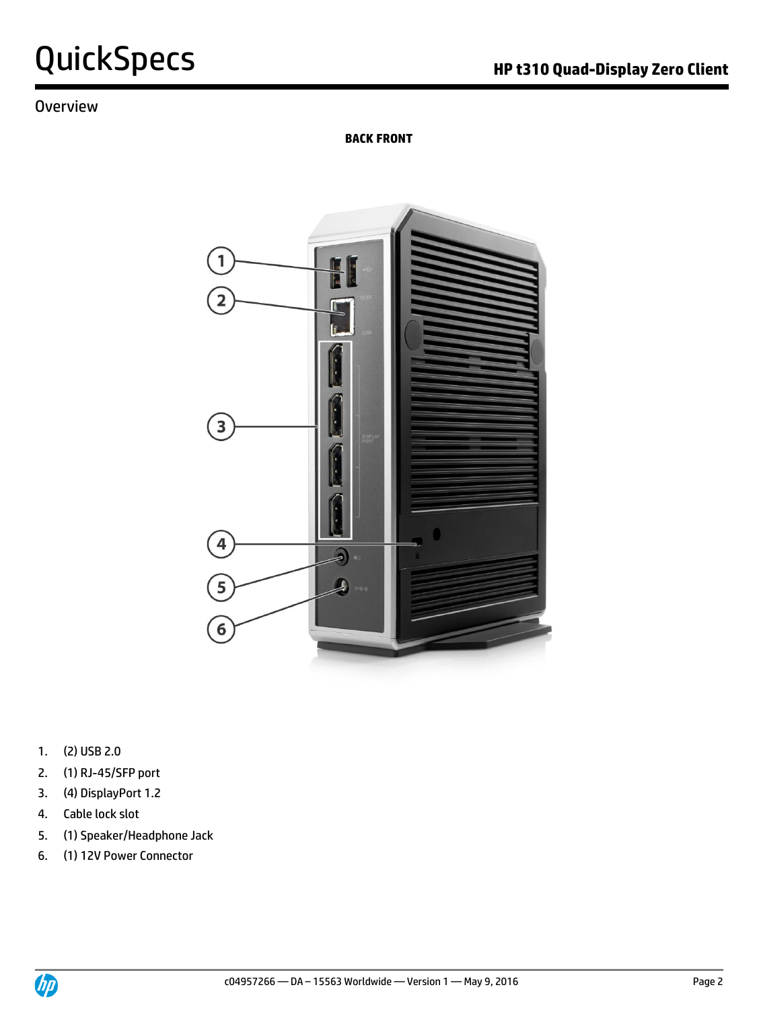#### Overview

**BACK FRONT**



- 1. (2) USB 2.0
- 2. (1) RJ-45/SFP port
- 3. (4) DisplayPort 1.2
- 4. Cable lock slot
- 5. (1) Speaker/Headphone Jack
- 6. (1) 12V Power Connector

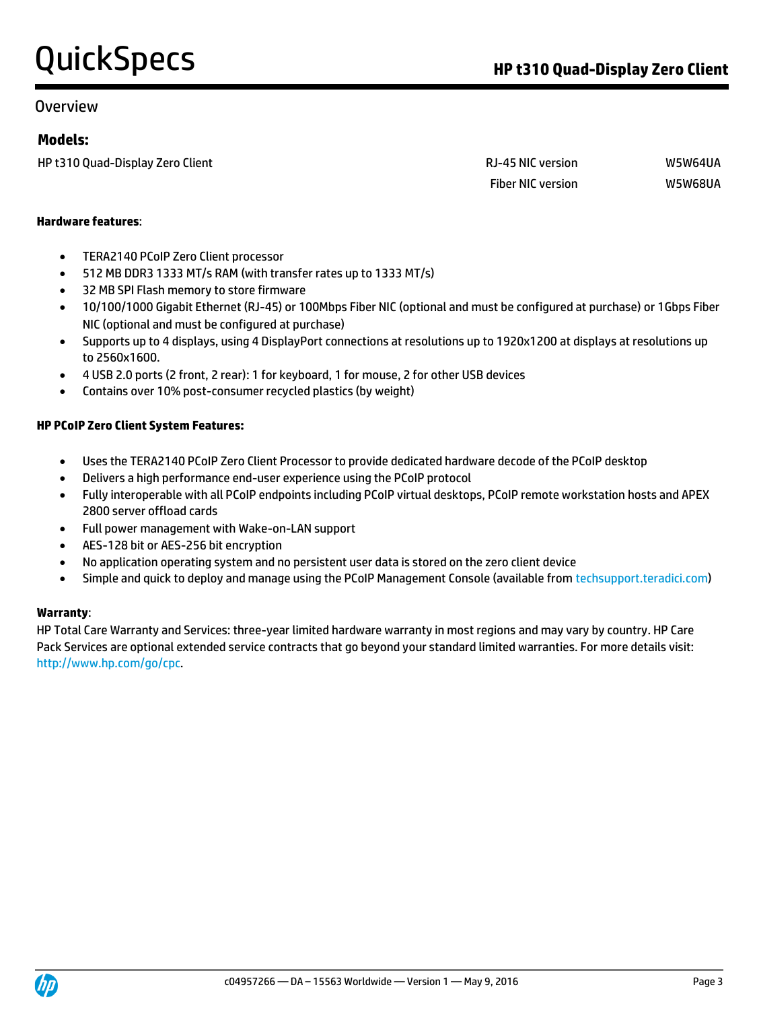#### Overview

#### **Models:**

HP t310 Quad-Display Zero Client RJ-45 NIC version W5W64UA Fiber NIC version W5W68UA

#### **Hardware features**:

- TERA2140 PCoIP Zero Client processor
- 512 MB DDR3 1333 MT/s RAM (with transfer rates up to 1333 MT/s)
- 32 MB SPI Flash memory to store firmware
- 10/100/1000 Gigabit Ethernet (RJ-45) or 100Mbps Fiber NIC (optional and must be configured at purchase) or 1Gbps Fiber NIC (optional and must be configured at purchase)
- Supports up to 4 displays, using 4 DisplayPort connections at resolutions up to 1920x1200 at displays at resolutions up to 2560x1600.
- 4 USB 2.0 ports (2 front, 2 rear): 1 for keyboard, 1 for mouse, 2 for other USB devices
- Contains over 10% post-consumer recycled plastics (by weight)

#### **HP PCoIP Zero Client System Features:**

- Uses the TERA2140 PCoIP Zero Client Processor to provide dedicated hardware decode of the PCoIP desktop
- Delivers a high performance end-user experience using the PCoIP protocol
- Fully interoperable with all PCoIP endpoints including PCoIP virtual desktops, PCoIP remote workstation hosts and APEX 2800 server offload cards
- Full power management with Wake-on-LAN support
- AES-128 bit or AES-256 bit encryption
- No application operating system and no persistent user data is stored on the zero client device
- Simple and quick to deploy and manage using the PCoIP Management Console (available from [techsupport.teradici.com\)](http://techsupport.teradici.com/)

#### **Warranty**:

HP Total Care Warranty and Services: three-year limited hardware warranty in most regions and may vary by country. HP Care Pack Services are optional extended service contracts that go beyond your standard limited warranties. For more details visit: [http://www.hp.com/go/cpc.](http://www.hp.com/go/cpc)

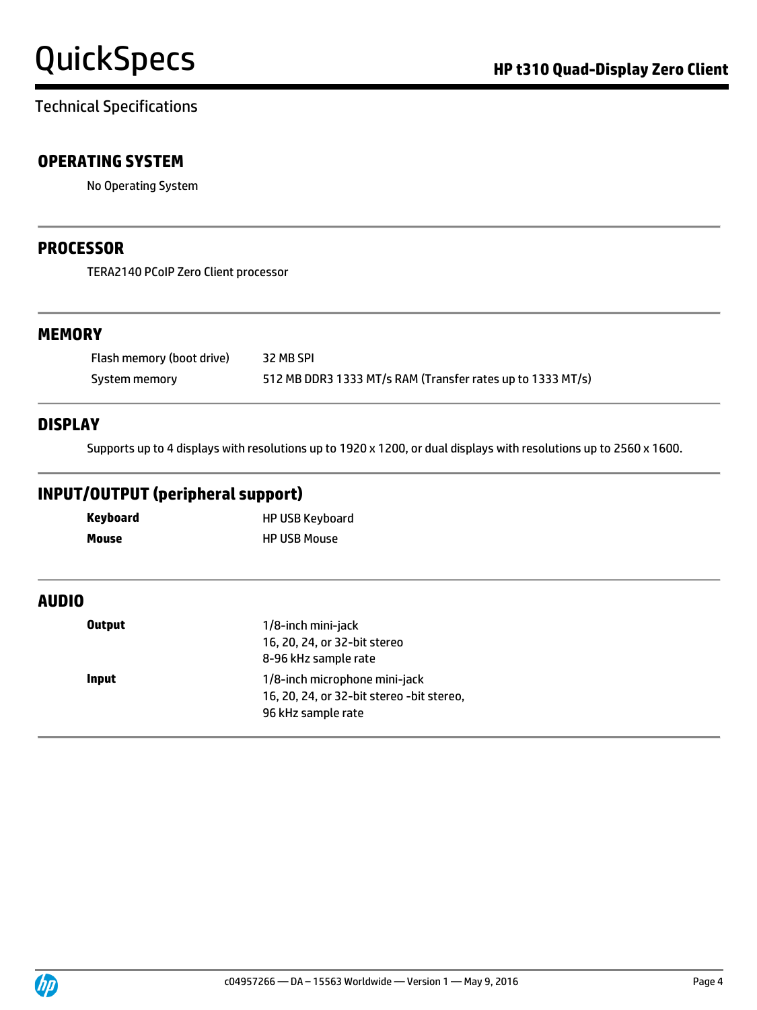### Technical Specifications

#### **OPERATING SYSTEM**

No Operating System

#### **PROCESSOR**

TERA2140 PCoIP Zero Client processor

#### **MEMORY**

Flash memory (boot drive) 32 MB SPI System memory 512 MB DDR3 1333 MT/s RAM (Transfer rates up to 1333 MT/s)

#### **DISPLAY**

Supports up to 4 displays with resolutions up to 1920 x 1200, or dual displays with resolutions up to 2560 x 1600.

#### **INPUT/OUTPUT (peripheral support)**

| Keyboard | <b>HP USB Keyboard</b> |
|----------|------------------------|
| Mouse    | <b>HP USB Mouse</b>    |

#### **AUDIO**

| <b>Output</b> | 1/8-inch mini-jack                        |
|---------------|-------------------------------------------|
|               | 16, 20, 24, or 32-bit stereo              |
|               | 8-96 kHz sample rate                      |
| Input         | 1/8-inch microphone mini-jack             |
|               | 16, 20, 24, or 32-bit stereo -bit stereo, |
|               | 96 kHz sample rate                        |
|               |                                           |

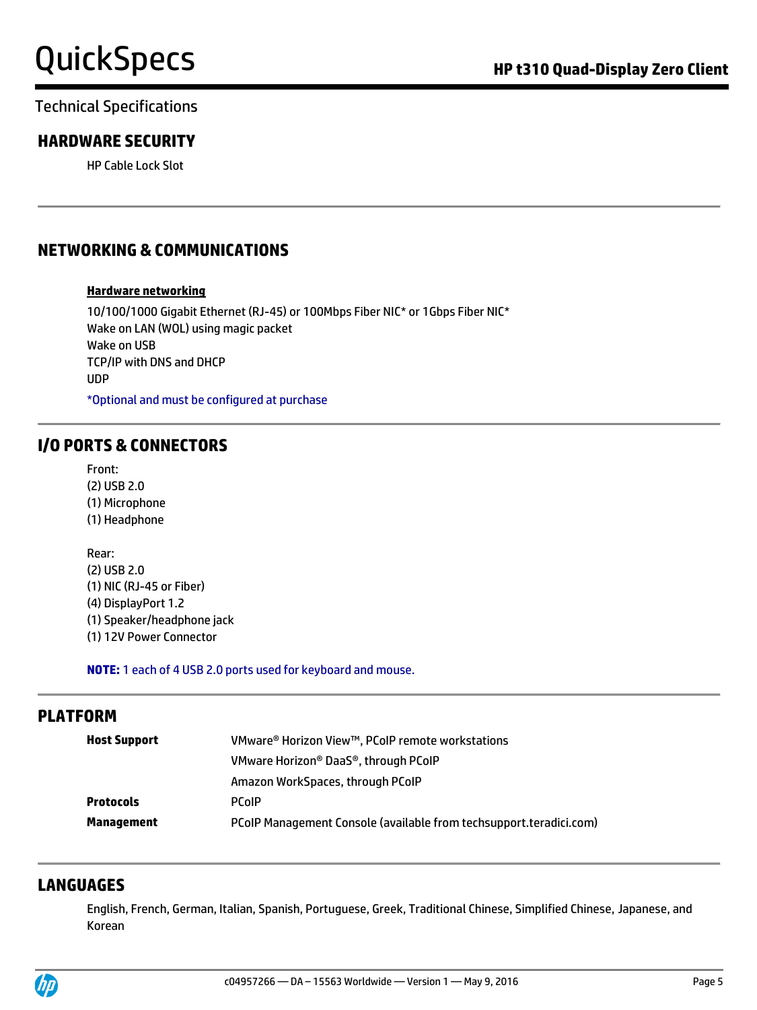#### Technical Specifications

#### **HARDWARE SECURITY**

HP Cable Lock Slot

### **NETWORKING & COMMUNICATIONS**

#### **Hardware networking**

10/100/1000 Gigabit Ethernet (RJ-45) or 100Mbps Fiber NIC\* or 1Gbps Fiber NIC\* Wake on LAN (WOL) using magic packet Wake on USB TCP/IP with DNS and DHCP UDP \*Optional and must be configured at purchase

#### **I/O PORTS & CONNECTORS**

Front: (2) USB 2.0 (1) Microphone (1) Headphone

Rear: (2) USB 2.0 (1) NIC (RJ-45 or Fiber) (4) DisplayPort 1.2 (1) Speaker/headphone jack (1) 12V Power Connector

**NOTE:** 1 each of 4 USB 2.0 ports used for keyboard and mouse.

# **PLATFORM Host Support** VMware® Horizon View™, PCoIP remote workstations VMware Horizon® DaaS®, through PCoIP Amazon WorkSpaces, through PCoIP **Protocols** PCoIP **Management** PCoIP Management Console (available from techsupport.teradici.com)

### **LANGUAGES**

English, French, German, Italian, Spanish, Portuguese, Greek, Traditional Chinese, Simplified Chinese, Japanese, and Korean

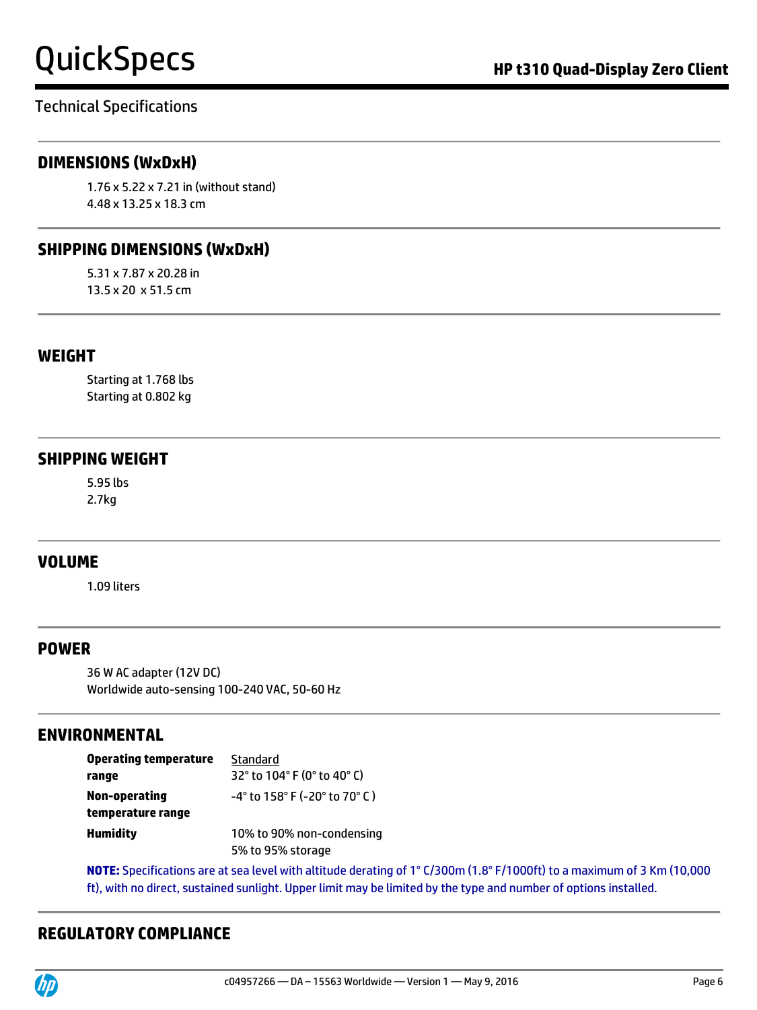### Technical Specifications

#### **DIMENSIONS (WxDxH)**

1.76 x 5.22 x 7.21 in (without stand) 4.48 x 13.25 x 18.3 cm

#### **SHIPPING DIMENSIONS (WxDxH)**

5.31 x 7.87 x 20.28 in 13.5 x 20 x 51.5 cm

#### **WEIGHT**

Starting at 1.768 lbs Starting at 0.802 kg

#### **SHIPPING WEIGHT**

5.95 lbs 2.7kg

#### **VOLUME**

1.09 liters

#### **POWER**

36 W AC adapter (12V DC) Worldwide auto-sensing 100-240 VAC, 50-60 Hz

#### **ENVIRONMENTAL**

| <b>Operating temperature</b> | Standard                                                             |
|------------------------------|----------------------------------------------------------------------|
| range                        | 32° to 104° F (0° to 40° C)                                          |
| Non-operating                | $-4^{\circ}$ to 158 $^{\circ}$ F (-20 $^{\circ}$ to 70 $^{\circ}$ C) |
| temperature range            |                                                                      |
| <b>Humidity</b>              | 10% to 90% non-condensing                                            |
|                              | 5% to 95% storage                                                    |

**NOTE:** Specifications are at sea level with altitude derating of 1° C/300m (1.8° F/1000ft) to a maximum of 3 Km (10,000 ft), with no direct, sustained sunlight. Upper limit may be limited by the type and number of options installed.

### **REGULATORY COMPLIANCE**

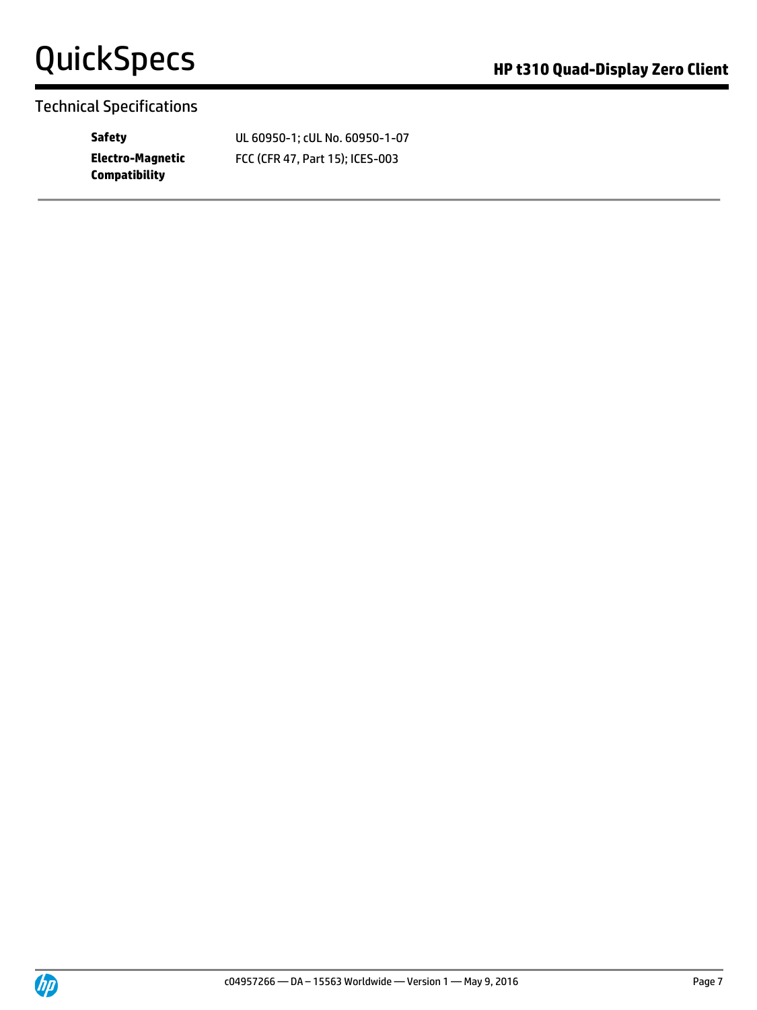#### Technical Specifications

**Electro-Magnetic Compatibility**

**Safety** UL 60950-1; cUL No. 60950-1-07 FCC (CFR 47, Part 15); ICES-003

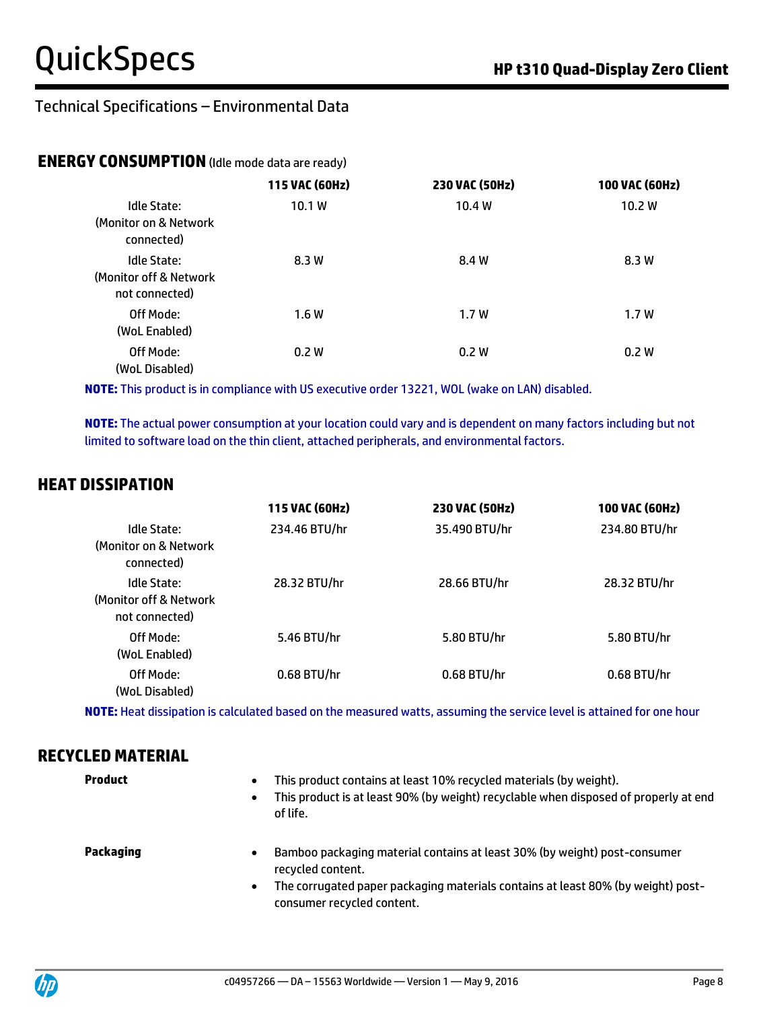#### **ENERGY CONSUMPTION** (Idle mode data are ready)

|                                                          | 115 VAC (60Hz) | 230 VAC (50Hz) | 100 VAC (60Hz) |
|----------------------------------------------------------|----------------|----------------|----------------|
| Idle State:<br>(Monitor on & Network)<br>connected)      | 10.1 W         | 10.4 W         | 10.2 W         |
| Idle State:<br>(Monitor off & Network)<br>not connected) | 8.3 W          | 8.4 W          | 8.3 W          |
| Off Mode:<br>(WoL Enabled)                               | 1.6W           | 1.7W           | 1.7W           |
| Off Mode:<br>(WoL Disabled)                              | 0.2 W          | 0.2 W          | 0.2 W          |

**NOTE:** This product is in compliance with US executive order 13221, WOL (wake on LAN) disabled.

**NOTE:** The actual power consumption at your location could vary and is dependent on many factors including but not limited to software load on the thin client, attached peripherals, and environmental factors.

#### **HEAT DISSIPATION**

|                                                          | 115 VAC (60Hz) | 230 VAC (50Hz) | 100 VAC (60Hz) |
|----------------------------------------------------------|----------------|----------------|----------------|
| Idle State:<br>(Monitor on & Network<br>connected)       | 234.46 BTU/hr  | 35.490 BTU/hr  | 234.80 BTU/hr  |
| Idle State:<br>(Monitor off & Network)<br>not connected) | 28.32 BTU/hr   | 28.66 BTU/hr   | 28.32 BTU/hr   |
| Off Mode:<br>(WoL Enabled)                               | 5.46 BTU/hr    | 5.80 BTU/hr    | 5.80 BTU/hr    |
| Off Mode:<br>(WoL Disabled)                              | 0.68 BTU/hr    | $0.68$ BTU/hr  | $0.68$ BTU/hr  |

**NOTE:** Heat dissipation is calculated based on the measured watts, assuming the service level is attained for one hour

#### **RECYCLED MATERIAL**

- **Product and Section C This product contains at least 10% recycled materials (by weight).** 
	- This product is at least 90% (by weight) recyclable when disposed of properly at end of life.

- **Packaging <b>Bamboo packaging material contains at least 30% (by weight) post-consumer** recycled content.
	- The corrugated paper packaging materials contains at least 80% (by weight) postconsumer recycled content.

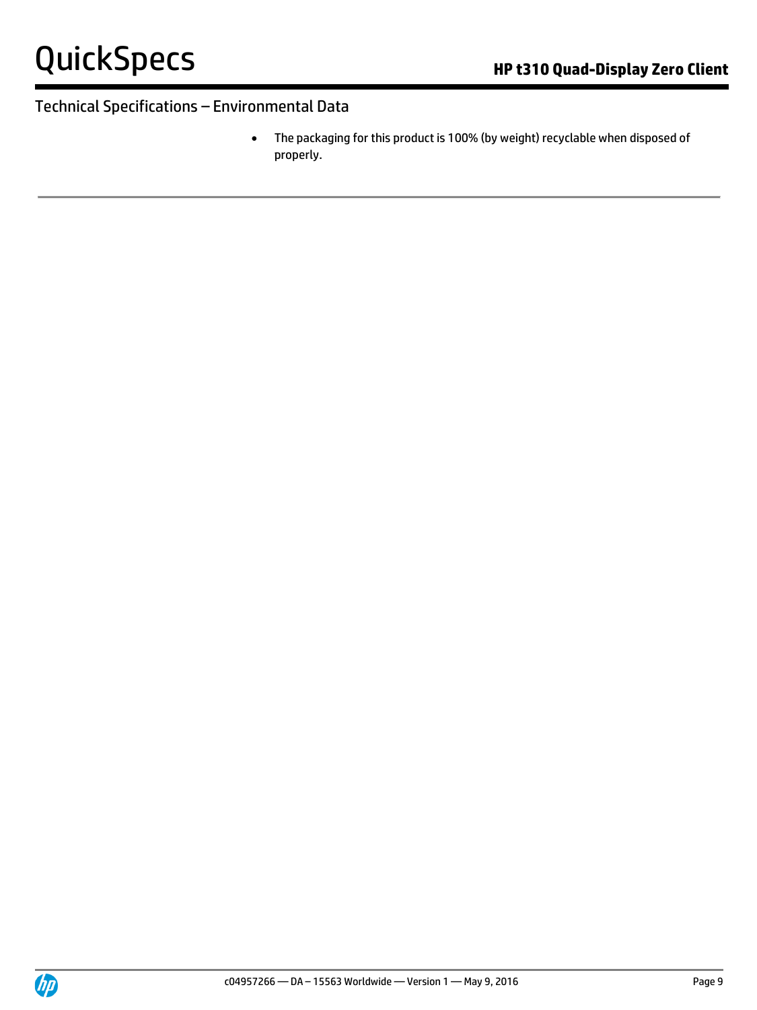The packaging for this product is 100% (by weight) recyclable when disposed of properly.

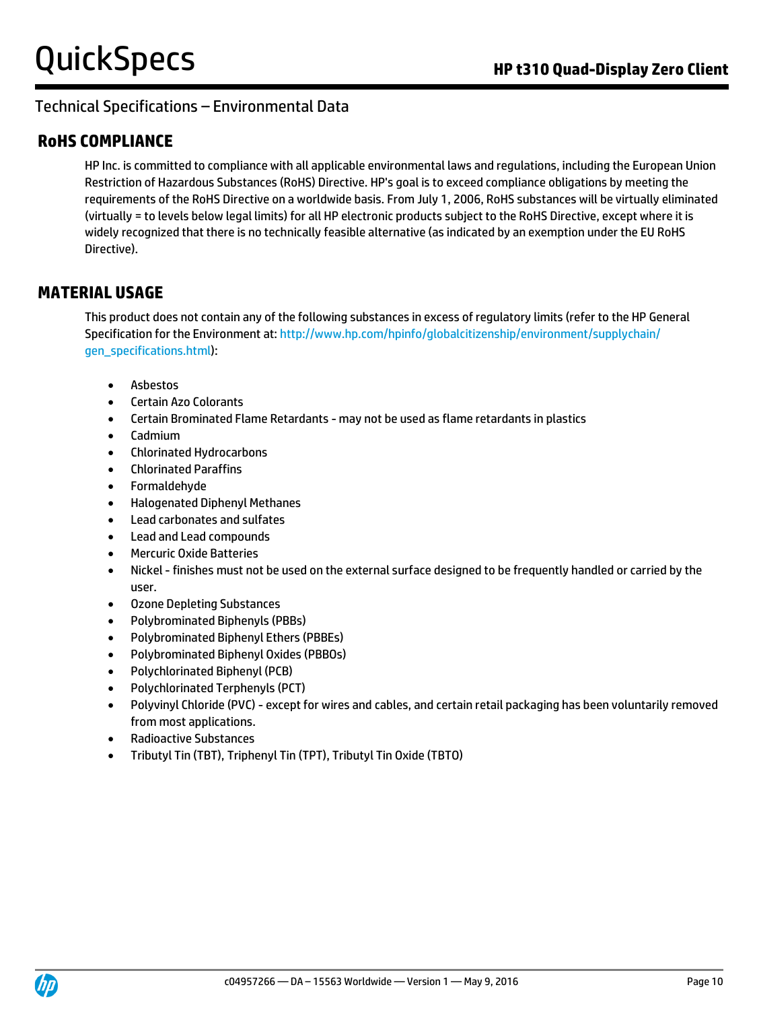### **RoHS COMPLIANCE**

HP Inc. is committed to compliance with all applicable environmental laws and regulations, including the European Union Restriction of Hazardous Substances (RoHS) Directive. HP's goal is to exceed compliance obligations by meeting the requirements of the RoHS Directive on a worldwide basis. From July 1, 2006, RoHS substances will be virtually eliminated (virtually = to levels below legal limits) for all HP electronic products subject to the RoHS Directive, except where it is widely recognized that there is no technically feasible alternative (as indicated by an exemption under the EU RoHS Directive).

#### **MATERIAL USAGE**

This product does not contain any of the following substances in excess of regulatory limits (refer to the HP General Specification for the Environment at[: http://www.hp.com/hpinfo/globalcitizenship/environment/supplychain/](http://www.hp.com/hpinfo/globalcitizenship/environment/supplychain/gen_specifications.html) [gen\\_specifications.html\)](http://www.hp.com/hpinfo/globalcitizenship/environment/supplychain/gen_specifications.html):

- Asbestos
- Certain Azo Colorants
- Certain Brominated Flame Retardants may not be used as flame retardants in plastics
- Cadmium
- Chlorinated Hydrocarbons
- Chlorinated Paraffins
- Formaldehyde
- Halogenated Diphenyl Methanes
- Lead carbonates and sulfates
- Lead and Lead compounds
- Mercuric Oxide Batteries
- Nickel finishes must not be used on the external surface designed to be frequently handled or carried by the user.
- Ozone Depleting Substances
- Polybrominated Biphenyls (PBBs)
- Polybrominated Biphenyl Ethers (PBBEs)
- Polybrominated Biphenyl Oxides (PBBOs)
- Polychlorinated Biphenyl (PCB)
- Polychlorinated Terphenyls (PCT)
- Polyvinyl Chloride (PVC) except for wires and cables, and certain retail packaging has been voluntarily removed from most applications.
- Radioactive Substances
- Tributyl Tin (TBT), Triphenyl Tin (TPT), Tributyl Tin Oxide (TBTO)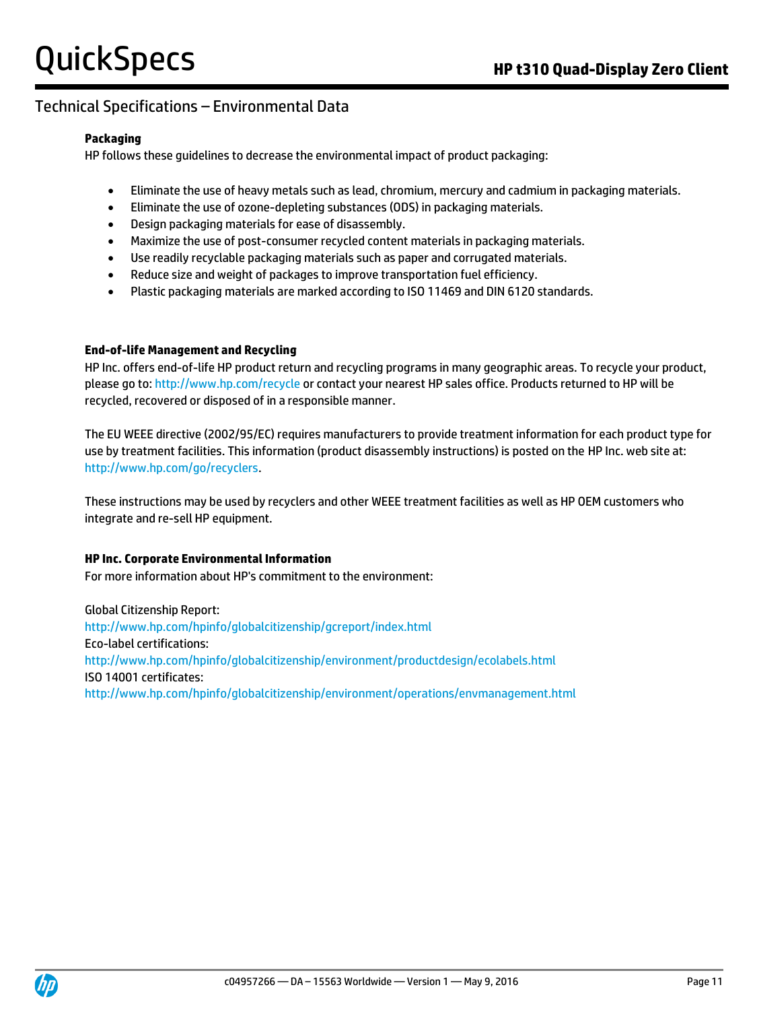#### **Packaging**

HP follows these guidelines to decrease the environmental impact of product packaging:

- Eliminate the use of heavy metals such as lead, chromium, mercury and cadmium in packaging materials.
- Eliminate the use of ozone-depleting substances (ODS) in packaging materials.
- Design packaging materials for ease of disassembly.
- Maximize the use of post-consumer recycled content materials in packaging materials.
- Use readily recyclable packaging materials such as paper and corrugated materials.
- Reduce size and weight of packages to improve transportation fuel efficiency.
- Plastic packaging materials are marked according to ISO 11469 and DIN 6120 standards.

#### **End-of-life Management and Recycling**

HP Inc. offers end-of-life HP product return and recycling programs in many geographic areas. To recycle your product, please go to[: http://www.hp.com/recycle](http://www.hp.com/recycle) or contact your nearest HP sales office. Products returned to HP will be recycled, recovered or disposed of in a responsible manner.

The EU WEEE directive (2002/95/EC) requires manufacturers to provide treatment information for each product type for use by treatment facilities. This information (product disassembly instructions) is posted on the HP Inc. web site at: [http://www.hp.com/go/recyclers.](http://www.hp.com/go/recyclers)

These instructions may be used by recyclers and other WEEE treatment facilities as well as HP OEM customers who integrate and re-sell HP equipment.

#### **HP Inc. Corporate Environmental Information**

For more information about HP's commitment to the environment:

Global Citizenship Report: <http://www.hp.com/hpinfo/globalcitizenship/gcreport/index.html> Eco-label certifications: <http://www.hp.com/hpinfo/globalcitizenship/environment/productdesign/ecolabels.html> ISO 14001 certificates: <http://www.hp.com/hpinfo/globalcitizenship/environment/operations/envmanagement.html>

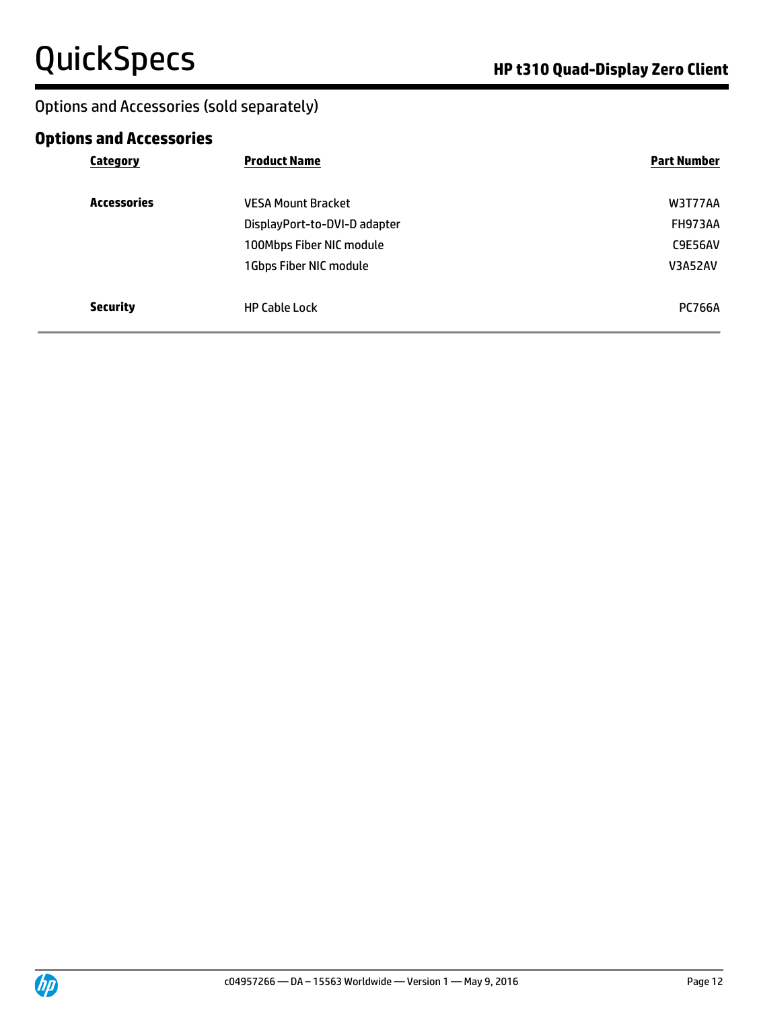## Options and Accessories (sold separately)

## **Options and Accessories**

| <b>Category</b>    | <b>Product Name</b>          | <b>Part Number</b> |
|--------------------|------------------------------|--------------------|
| <b>Accessories</b> | <b>VESA Mount Bracket</b>    | W3T77AA            |
|                    | DisplayPort-to-DVI-D adapter | <b>FH973AA</b>     |
|                    | 100Mbps Fiber NIC module     | <b>C9E56AV</b>     |
|                    | 1Gbps Fiber NIC module       | <b>V3A52AV</b>     |
| <b>Security</b>    | <b>HP Cable Lock</b>         | <b>PC766A</b>      |

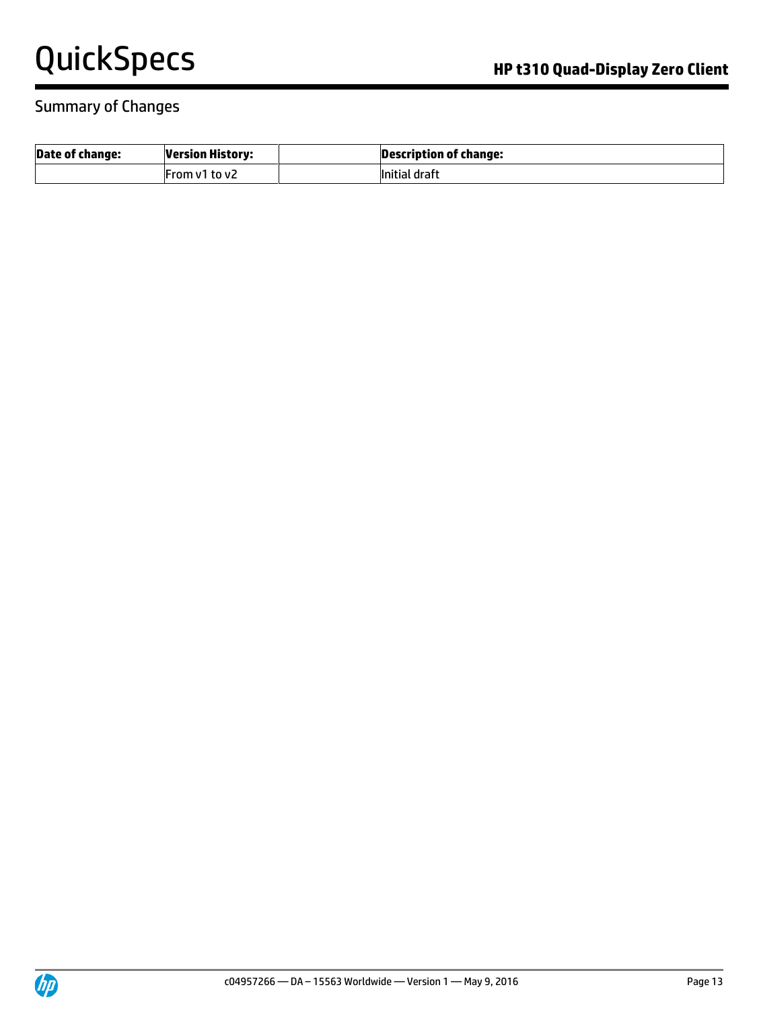#### Summary of Changes

| <b>Date of change:</b> | <b>Version History:</b> | Description of change: |
|------------------------|-------------------------|------------------------|
|                        | From v1 to v2           | llnitial draft         |